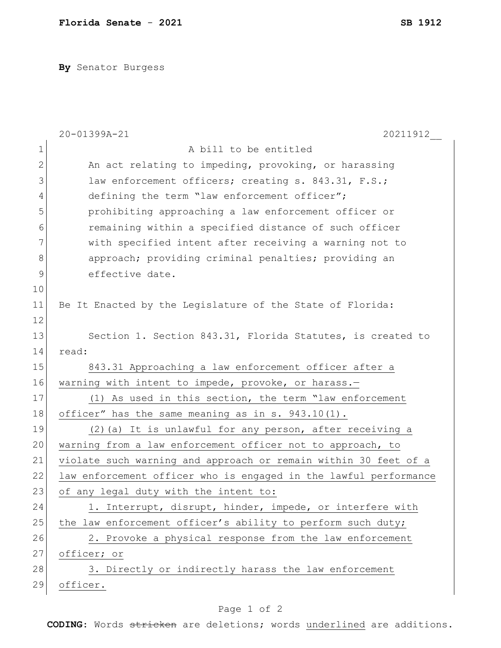**By** Senator Burgess

|               | 20-01399A-21<br>20211912                                         |
|---------------|------------------------------------------------------------------|
| $\mathbf 1$   | A bill to be entitled                                            |
| $\mathbf 2$   | An act relating to impeding, provoking, or harassing             |
| 3             | law enforcement officers; creating s. 843.31, F.S.;              |
| 4             | defining the term "law enforcement officer";                     |
| 5             | prohibiting approaching a law enforcement officer or             |
| 6             | remaining within a specified distance of such officer            |
| 7             | with specified intent after receiving a warning not to           |
| $8\,$         | approach; providing criminal penalties; providing an             |
| $\mathcal{G}$ | effective date.                                                  |
| 10            |                                                                  |
| 11            | Be It Enacted by the Legislature of the State of Florida:        |
| 12            |                                                                  |
| 13            | Section 1. Section 843.31, Florida Statutes, is created to       |
| 14            | read:                                                            |
| 15            | 843.31 Approaching a law enforcement officer after a             |
| 16            | warning with intent to impede, provoke, or harass.-              |
| 17            | (1) As used in this section, the term "law enforcement           |
| 18            | officer" has the same meaning as in s. 943.10(1).                |
| 19            | (2) (a) It is unlawful for any person, after receiving a         |
| 20            | warning from a law enforcement officer not to approach, to       |
| 21            | violate such warning and approach or remain within 30 feet of a  |
| 22            | law enforcement officer who is engaged in the lawful performance |
| 23            | of any legal duty with the intent to:                            |
| 24            | 1. Interrupt, disrupt, hinder, impede, or interfere with         |
| 25            | the law enforcement officer's ability to perform such duty;      |
| 26            | 2. Provoke a physical response from the law enforcement          |
| 27            | officer; or                                                      |
| 28            | 3. Directly or indirectly harass the law enforcement             |
| 29            | officer.                                                         |

## Page 1 of 2

**CODING**: Words stricken are deletions; words underlined are additions.